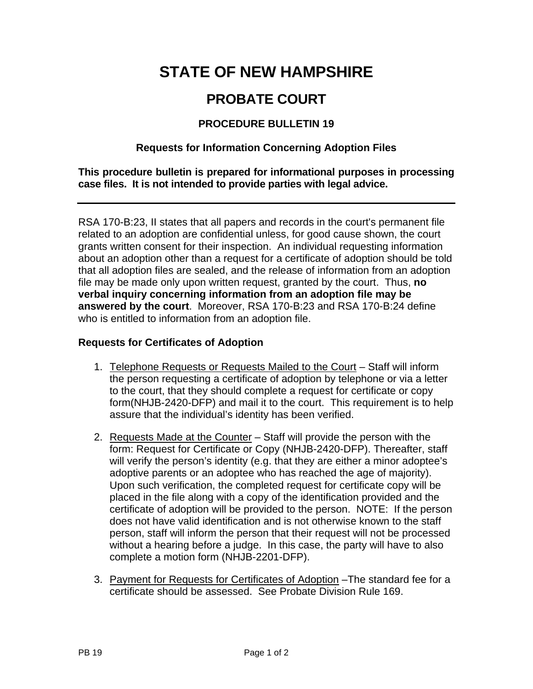# **STATE OF NEW HAMPSHIRE**

## **PROBATE COURT**

### **PROCEDURE BULLETIN 19**

#### **Requests for Information Concerning Adoption Files**

**This procedure bulletin is prepared for informational purposes in processing case files. It is not intended to provide parties with legal advice.** 

RSA 170-B:23, II states that all papers and records in the court's permanent file related to an adoption are confidential unless, for good cause shown, the court grants written consent for their inspection. An individual requesting information about an adoption other than a request for a certificate of adoption should be told that all adoption files are sealed, and the release of information from an adoption file may be made only upon written request, granted by the court. Thus, **no verbal inquiry concerning information from an adoption file may be answered by the court**. Moreover, RSA 170-B:23 and RSA 170-B:24 define who is entitled to information from an adoption file.

#### **Requests for Certificates of Adoption**

- 1. Telephone Requests or Requests Mailed to the Court Staff will inform the person requesting a certificate of adoption by telephone or via a letter to the court, that they should complete a request for certificate or copy form(NHJB-2420-DFP) and mail it to the court. This requirement is to help assure that the individual's identity has been verified.
- 2. Requests Made at the Counter Staff will provide the person with the form: Request for Certificate or Copy (NHJB-2420-DFP). Thereafter, staff will verify the person's identity (e.g. that they are either a minor adoptee's adoptive parents or an adoptee who has reached the age of majority). Upon such verification, the completed request for certificate copy will be placed in the file along with a copy of the identification provided and the certificate of adoption will be provided to the person. NOTE: If the person does not have valid identification and is not otherwise known to the staff person, staff will inform the person that their request will not be processed without a hearing before a judge. In this case, the party will have to also complete a motion form (NHJB-2201-DFP).
- 3. Payment for Requests for Certificates of Adoption –The standard fee for a certificate should be assessed. See Probate Division Rule 169.